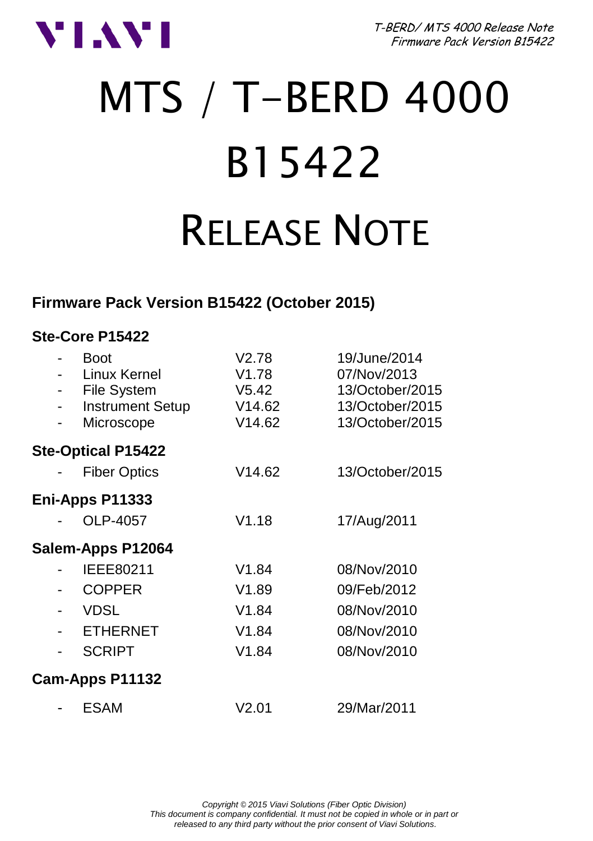

T-BERD/ MTS 4000 Release Note Firmware Pack Version B15422

# MTS / T-BERD 4000 B15422 RELEASE NOTE

### **Firmware Pack Version B15422 (October 2015)**

#### **Ste-Core P15422**

|                 |  | <b>Boot</b><br>Linux Kernel<br><b>File System</b><br><b>Instrument Setup</b><br>Microscope | V2.78<br>V <sub>1.78</sub><br>V5.42<br>V14.62<br>V14.62 | 19/June/2014<br>07/Nov/2013<br>13/October/2015<br>13/October/2015<br>13/October/2015 |  |
|-----------------|--|--------------------------------------------------------------------------------------------|---------------------------------------------------------|--------------------------------------------------------------------------------------|--|
|                 |  | <b>Ste-Optical P15422</b>                                                                  |                                                         |                                                                                      |  |
|                 |  | <b>Fiber Optics</b>                                                                        | V14.62                                                  | 13/October/2015                                                                      |  |
| Eni-Apps P11333 |  |                                                                                            |                                                         |                                                                                      |  |
|                 |  | OLP-4057                                                                                   | V1.18                                                   | 17/Aug/2011                                                                          |  |
|                 |  | Salem-Apps P12064                                                                          |                                                         |                                                                                      |  |
|                 |  | IEEE80211                                                                                  | V1.84                                                   | 08/Nov/2010                                                                          |  |
|                 |  | <b>COPPER</b>                                                                              | V1.89                                                   | 09/Feb/2012                                                                          |  |
|                 |  | <b>VDSL</b>                                                                                | V1.84                                                   | 08/Nov/2010                                                                          |  |
|                 |  | <b>ETHERNET</b>                                                                            | V1.84                                                   | 08/Nov/2010                                                                          |  |
|                 |  | <b>SCRIPT</b>                                                                              | V1.84                                                   | 08/Nov/2010                                                                          |  |
|                 |  | Cam-Apps P11132                                                                            |                                                         |                                                                                      |  |
|                 |  | <b>ESAM</b>                                                                                | V2.01                                                   | 29/Mar/2011                                                                          |  |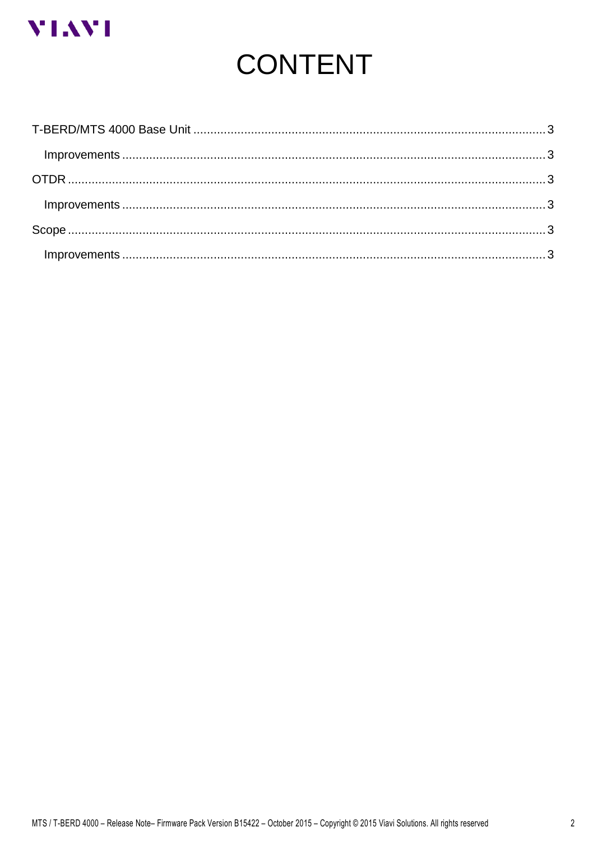

# **CONTENT**